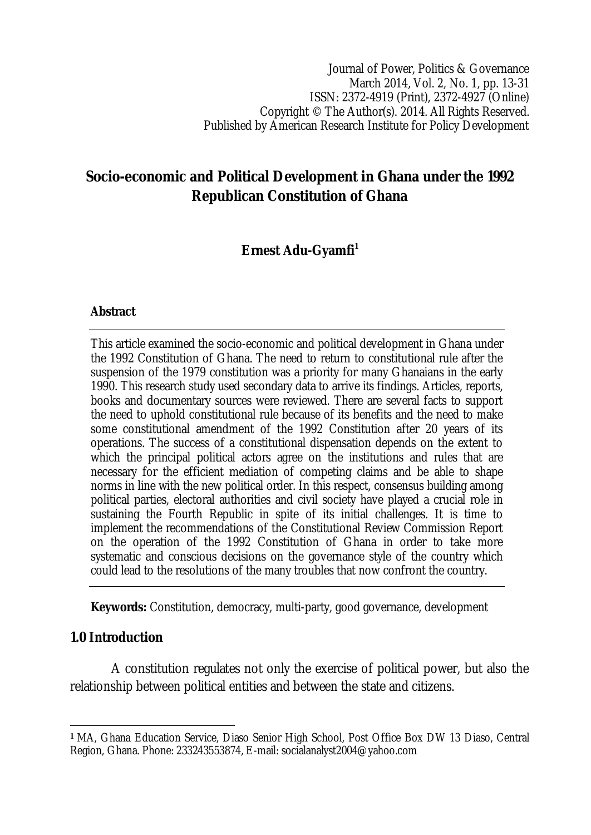Journal of Power, Politics & Governance March 2014, Vol. 2, No. 1, pp. 13-31 ISSN: 2372-4919 (Print), 2372-4927 (Online) Copyright © The Author(s). 2014. All Rights Reserved. Published by American Research Institute for Policy Development

# **Socio-economic and Political Development in Ghana under the 1992 Republican Constitution of Ghana**

# **Ernest Adu-Gyamfi<sup>1</sup>**

### **Abstract**

This article examined the socio-economic and political development in Ghana under the 1992 Constitution of Ghana. The need to return to constitutional rule after the suspension of the 1979 constitution was a priority for many Ghanaians in the early 1990. This research study used secondary data to arrive its findings. Articles, reports, books and documentary sources were reviewed. There are several facts to support the need to uphold constitutional rule because of its benefits and the need to make some constitutional amendment of the 1992 Constitution after 20 years of its operations. The success of a constitutional dispensation depends on the extent to which the principal political actors agree on the institutions and rules that are necessary for the efficient mediation of competing claims and be able to shape norms in line with the new political order. In this respect, consensus building among political parties, electoral authorities and civil society have played a crucial role in sustaining the Fourth Republic in spite of its initial challenges. It is time to implement the recommendations of the Constitutional Review Commission Report on the operation of the 1992 Constitution of Ghana in order to take more systematic and conscious decisions on the governance style of the country which could lead to the resolutions of the many troubles that now confront the country.

**Keywords:** Constitution, democracy, multi-party, good governance, development

## **1.0 Introduction**

A constitution regulates not only the exercise of political power, but also the relationship between political entities and between the state and citizens.

 $\overline{\phantom{a}}$ **<sup>1</sup>** MA, Ghana Education Service, Diaso Senior High School, Post Office Box DW 13 Diaso, Central Region, Ghana. Phone: 233243553874, E-mail: socialanalyst2004@yahoo.com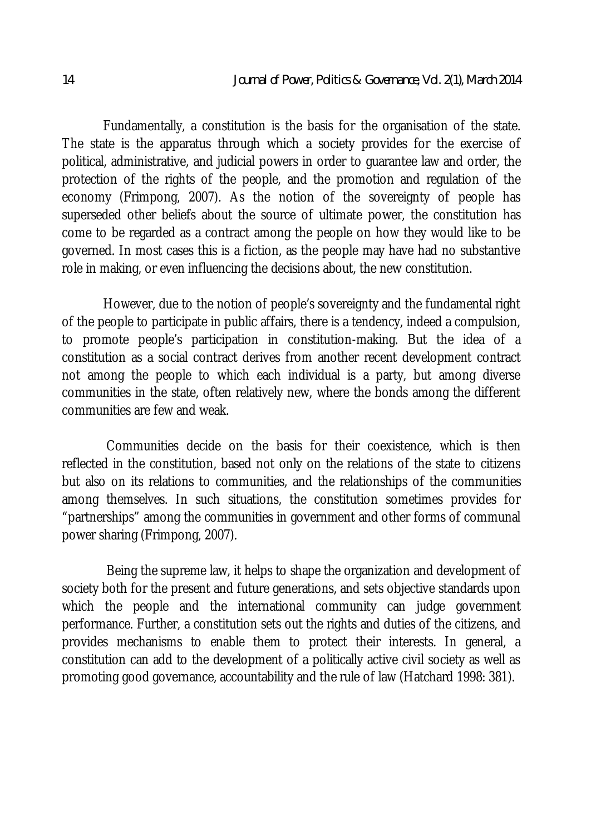Fundamentally, a constitution is the basis for the organisation of the state. The state is the apparatus through which a society provides for the exercise of political, administrative, and judicial powers in order to guarantee law and order, the protection of the rights of the people, and the promotion and regulation of the economy (Frimpong, 2007). As the notion of the sovereignty of people has superseded other beliefs about the source of ultimate power, the constitution has come to be regarded as a contract among the people on how they would like to be governed. In most cases this is a fiction, as the people may have had no substantive role in making, or even influencing the decisions about, the new constitution.

However, due to the notion of people's sovereignty and the fundamental right of the people to participate in public affairs, there is a tendency, indeed a compulsion, to promote people's participation in constitution-making. But the idea of a constitution as a social contract derives from another recent development contract not among the people to which each individual is a party, but among diverse communities in the state, often relatively new, where the bonds among the different communities are few and weak.

Communities decide on the basis for their coexistence, which is then reflected in the constitution, based not only on the relations of the state to citizens but also on its relations to communities, and the relationships of the communities among themselves. In such situations, the constitution sometimes provides for "partnerships" among the communities in government and other forms of communal power sharing (Frimpong, 2007).

Being the supreme law, it helps to shape the organization and development of society both for the present and future generations, and sets objective standards upon which the people and the international community can judge government performance. Further, a constitution sets out the rights and duties of the citizens, and provides mechanisms to enable them to protect their interests. In general, a constitution can add to the development of a politically active civil society as well as promoting good governance, accountability and the rule of law (Hatchard 1998: 381).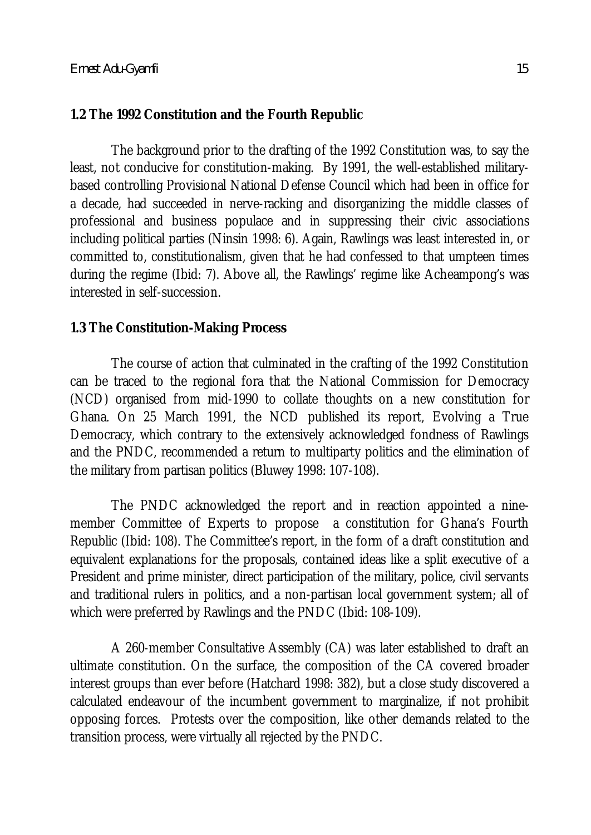### **1.2 The 1992 Constitution and the Fourth Republic**

The background prior to the drafting of the 1992 Constitution was, to say the least, not conducive for constitution-making. By 1991, the well-established militarybased controlling Provisional National Defense Council which had been in office for a decade, had succeeded in nerve-racking and disorganizing the middle classes of professional and business populace and in suppressing their civic associations including political parties (Ninsin 1998: 6). Again, Rawlings was least interested in, or committed to, constitutionalism, given that he had confessed to that umpteen times during the regime (Ibid: 7). Above all, the Rawlings' regime like Acheampong's was interested in self-succession.

### **1.3 The Constitution-Making Process**

The course of action that culminated in the crafting of the 1992 Constitution can be traced to the regional fora that the National Commission for Democracy (NCD) organised from mid-1990 to collate thoughts on a new constitution for Ghana. On 25 March 1991, the NCD published its report, Evolving a True Democracy, which contrary to the extensively acknowledged fondness of Rawlings and the PNDC, recommended a return to multiparty politics and the elimination of the military from partisan politics (Bluwey 1998: 107-108).

The PNDC acknowledged the report and in reaction appointed a ninemember Committee of Experts to propose a constitution for Ghana's Fourth Republic (Ibid: 108). The Committee's report, in the form of a draft constitution and equivalent explanations for the proposals, contained ideas like a split executive of a President and prime minister, direct participation of the military, police, civil servants and traditional rulers in politics, and a non-partisan local government system; all of which were preferred by Rawlings and the PNDC (Ibid: 108-109).

A 260-member Consultative Assembly (CA) was later established to draft an ultimate constitution. On the surface, the composition of the CA covered broader interest groups than ever before (Hatchard 1998: 382), but a close study discovered a calculated endeavour of the incumbent government to marginalize, if not prohibit opposing forces. Protests over the composition, like other demands related to the transition process, were virtually all rejected by the PNDC.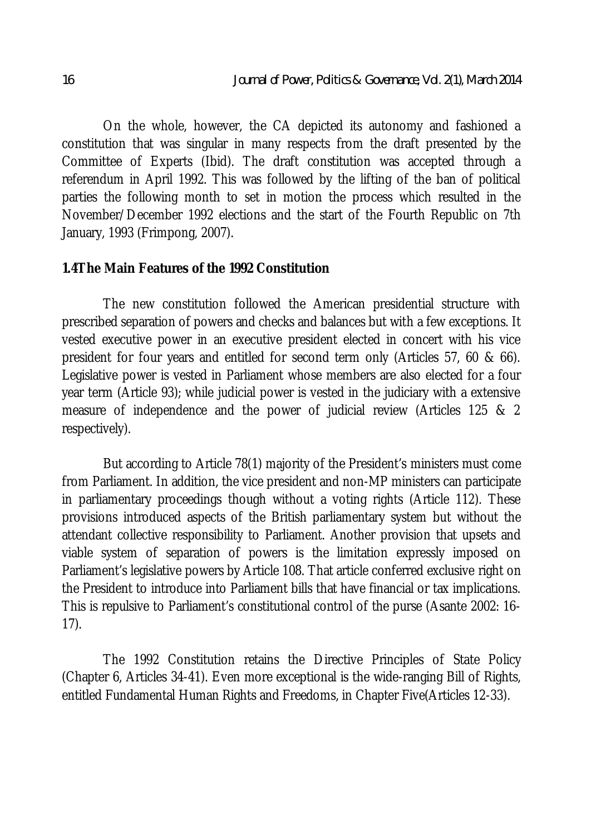On the whole, however, the CA depicted its autonomy and fashioned a constitution that was singular in many respects from the draft presented by the Committee of Experts (Ibid). The draft constitution was accepted through a referendum in April 1992. This was followed by the lifting of the ban of political parties the following month to set in motion the process which resulted in the November/December 1992 elections and the start of the Fourth Republic on 7th January, 1993 (Frimpong, 2007).

### **1.4The Main Features of the 1992 Constitution**

The new constitution followed the American presidential structure with prescribed separation of powers and checks and balances but with a few exceptions. It vested executive power in an executive president elected in concert with his vice president for four years and entitled for second term only (Articles 57, 60 & 66). Legislative power is vested in Parliament whose members are also elected for a four year term (Article 93); while judicial power is vested in the judiciary with a extensive measure of independence and the power of judicial review (Articles 125 & 2 respectively).

But according to Article 78(1) majority of the President's ministers must come from Parliament. In addition, the vice president and non-MP ministers can participate in parliamentary proceedings though without a voting rights (Article 112). These provisions introduced aspects of the British parliamentary system but without the attendant collective responsibility to Parliament. Another provision that upsets and viable system of separation of powers is the limitation expressly imposed on Parliament's legislative powers by Article 108. That article conferred exclusive right on the President to introduce into Parliament bills that have financial or tax implications. This is repulsive to Parliament's constitutional control of the purse (Asante 2002: 16- 17).

The 1992 Constitution retains the Directive Principles of State Policy (Chapter 6, Articles 34-41). Even more exceptional is the wide-ranging Bill of Rights, entitled Fundamental Human Rights and Freedoms, in Chapter Five(Articles 12-33).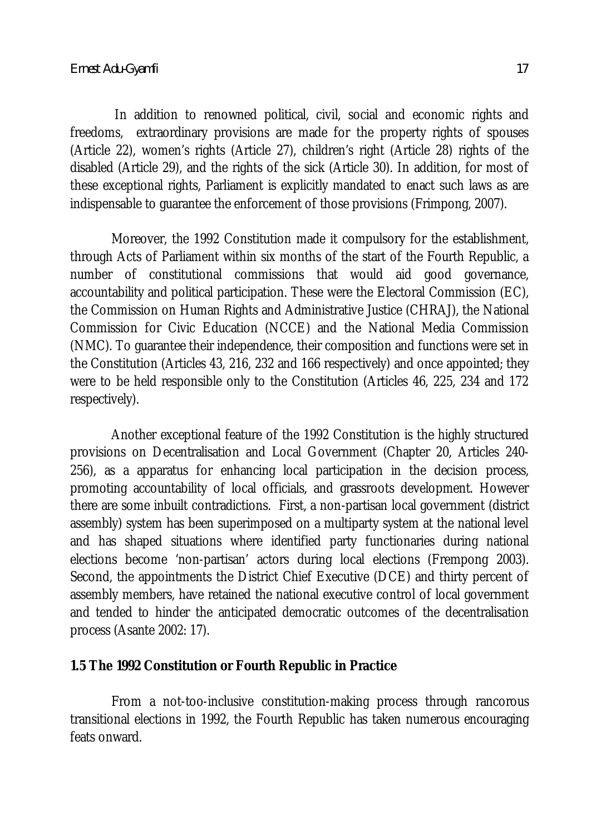In addition to renowned political, civil, social and economic rights and freedoms, extraordinary provisions are made for the property rights of spouses (Article 22), women's rights (Article 27), children's right (Article 28) rights of the disabled (Article 29), and the rights of the sick (Article 30). In addition, for most of these exceptional rights, Parliament is explicitly mandated to enact such laws as are indispensable to guarantee the enforcement of those provisions (Frimpong, 2007).

Moreover, the 1992 Constitution made it compulsory for the establishment, through Acts of Parliament within six months of the start of the Fourth Republic, a number of constitutional commissions that would aid good governance, accountability and political participation. These were the Electoral Commission (EC), the Commission on Human Rights and Administrative Justice (CHRAJ), the National Commission for Civic Education (NCCE) and the National Media Commission (NMC). To guarantee their independence, their composition and functions were set in the Constitution (Articles 43, 216, 232 and 166 respectively) and once appointed; they were to be held responsible only to the Constitution (Articles 46, 225, 234 and 172 respectively).

Another exceptional feature of the 1992 Constitution is the highly structured provisions on Decentralisation and Local Government (Chapter 20, Articles 240- 256), as a apparatus for enhancing local participation in the decision process, promoting accountability of local officials, and grassroots development. However there are some inbuilt contradictions. First, a non-partisan local government (district assembly) system has been superimposed on a multiparty system at the national level and has shaped situations where identified party functionaries during national elections become 'non-partisan' actors during local elections (Frempong 2003). Second, the appointments the District Chief Executive (DCE) and thirty percent of assembly members, have retained the national executive control of local government and tended to hinder the anticipated democratic outcomes of the decentralisation process (Asante 2002: 17).

# **1.5 The 1992 Constitution or Fourth Republic in Practice**

From a not-too-inclusive constitution-making process through rancorous transitional elections in 1992, the Fourth Republic has taken numerous encouraging feats onward.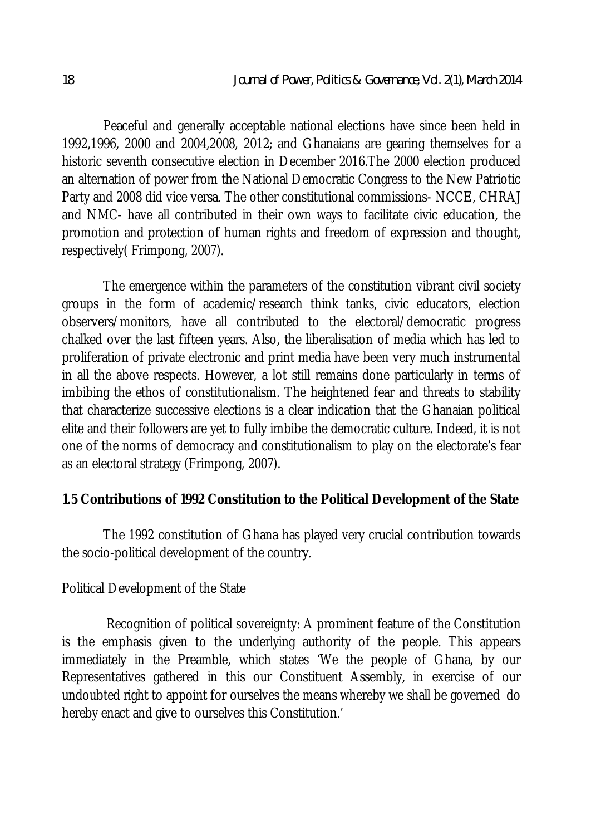Peaceful and generally acceptable national elections have since been held in 1992,1996, 2000 and 2004,2008, 2012; and Ghanaians are gearing themselves for a historic seventh consecutive election in December 2016.The 2000 election produced an alternation of power from the National Democratic Congress to the New Patriotic Party and 2008 did vice versa. The other constitutional commissions- NCCE, CHRAJ and NMC- have all contributed in their own ways to facilitate civic education, the promotion and protection of human rights and freedom of expression and thought, respectively( Frimpong, 2007).

The emergence within the parameters of the constitution vibrant civil society groups in the form of academic/research think tanks, civic educators, election observers/monitors, have all contributed to the electoral/democratic progress chalked over the last fifteen years. Also, the liberalisation of media which has led to proliferation of private electronic and print media have been very much instrumental in all the above respects. However, a lot still remains done particularly in terms of imbibing the ethos of constitutionalism. The heightened fear and threats to stability that characterize successive elections is a clear indication that the Ghanaian political elite and their followers are yet to fully imbibe the democratic culture. Indeed, it is not one of the norms of democracy and constitutionalism to play on the electorate's fear as an electoral strategy (Frimpong, 2007).

## **1.5 Contributions of 1992 Constitution to the Political Development of the State**

The 1992 constitution of Ghana has played very crucial contribution towards the socio-political development of the country.

### Political Development of the State

Recognition of political sovereignty: A prominent feature of the Constitution is the emphasis given to the underlying authority of the people. This appears immediately in the Preamble, which states 'We the people of Ghana, by our Representatives gathered in this our Constituent Assembly, in exercise of our undoubted right to appoint for ourselves the means whereby we shall be governed do hereby enact and give to ourselves this Constitution.'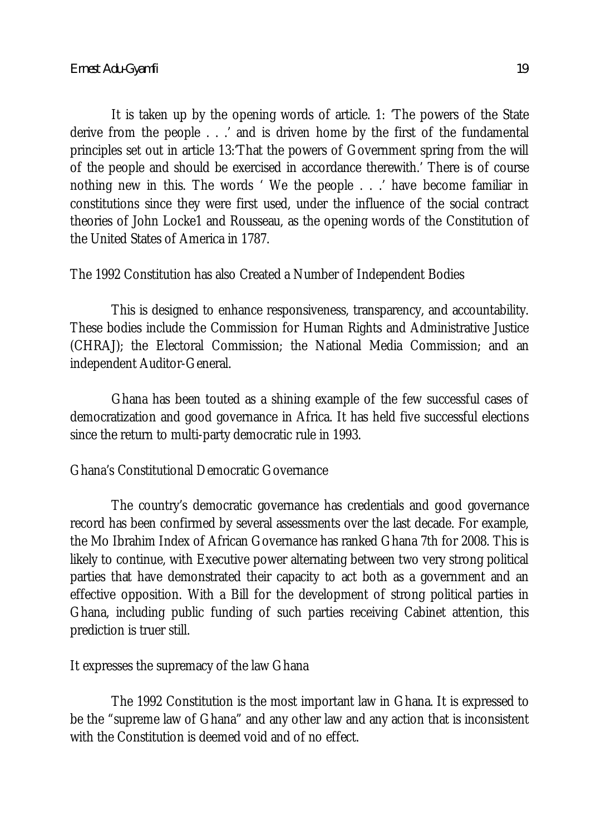It is taken up by the opening words of article. 1: 'The powers of the State derive from the people . . .' and is driven home by the first of the fundamental principles set out in article 13:'That the powers of Government spring from the will of the people and should be exercised in accordance therewith.' There is of course nothing new in this. The words ' We the people . . .' have become familiar in constitutions since they were first used, under the influence of the social contract theories of John Locke1 and Rousseau, as the opening words of the Constitution of the United States of America in 1787.

The 1992 Constitution has also Created a Number of Independent Bodies

This is designed to enhance responsiveness, transparency, and accountability. These bodies include the Commission for Human Rights and Administrative Justice (CHRAJ); the Electoral Commission; the National Media Commission; and an independent Auditor-General.

Ghana has been touted as a shining example of the few successful cases of democratization and good governance in Africa. It has held five successful elections since the return to multi-party democratic rule in 1993.

## Ghana's Constitutional Democratic Governance

The country's democratic governance has credentials and good governance record has been confirmed by several assessments over the last decade. For example, the Mo Ibrahim Index of African Governance has ranked Ghana 7th for 2008. This is likely to continue, with Executive power alternating between two very strong political parties that have demonstrated their capacity to act both as a government and an effective opposition. With a Bill for the development of strong political parties in Ghana, including public funding of such parties receiving Cabinet attention, this prediction is truer still.

It expresses the supremacy of the law Ghana

The 1992 Constitution is the most important law in Ghana. It is expressed to be the "supreme law of Ghana" and any other law and any action that is inconsistent with the Constitution is deemed void and of no effect.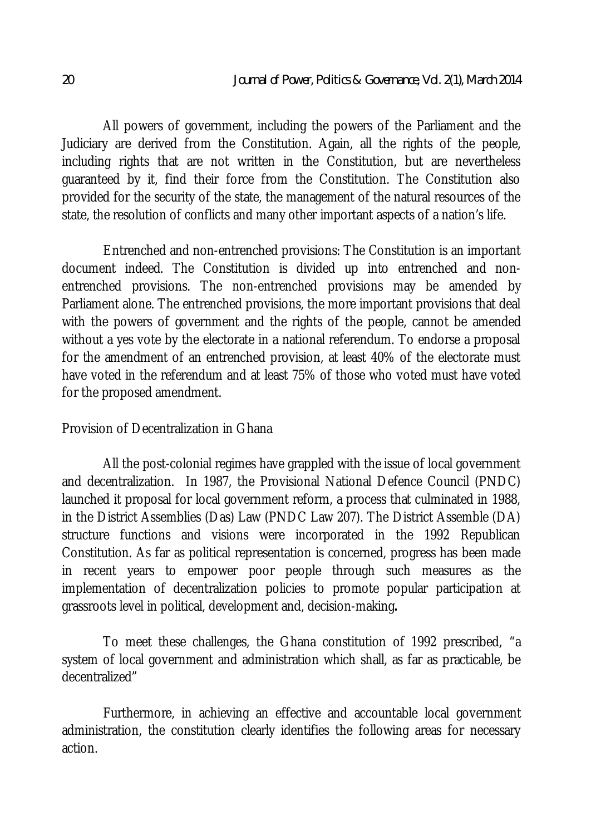All powers of government, including the powers of the Parliament and the Judiciary are derived from the Constitution. Again, all the rights of the people, including rights that are not written in the Constitution, but are nevertheless guaranteed by it, find their force from the Constitution. The Constitution also provided for the security of the state, the management of the natural resources of the state, the resolution of conflicts and many other important aspects of a nation's life.

Entrenched and non-entrenched provisions: The Constitution is an important document indeed. The Constitution is divided up into entrenched and nonentrenched provisions. The non-entrenched provisions may be amended by Parliament alone. The entrenched provisions, the more important provisions that deal with the powers of government and the rights of the people, cannot be amended without a yes vote by the electorate in a national referendum. To endorse a proposal for the amendment of an entrenched provision, at least 40% of the electorate must have voted in the referendum and at least 75% of those who voted must have voted for the proposed amendment.

## Provision of Decentralization in Ghana

All the post-colonial regimes have grappled with the issue of local government and decentralization. In 1987, the Provisional National Defence Council (PNDC) launched it proposal for local government reform, a process that culminated in 1988, in the District Assemblies (Das) Law (PNDC Law 207). The District Assemble (DA) structure functions and visions were incorporated in the 1992 Republican Constitution. As far as political representation is concerned, progress has been made in recent years to empower poor people through such measures as the implementation of decentralization policies to promote popular participation at grassroots level in political, development and, decision-making**.**

To meet these challenges, the Ghana constitution of 1992 prescribed, "a system of local government and administration which shall, as far as practicable, be decentralized"

Furthermore, in achieving an effective and accountable local government administration, the constitution clearly identifies the following areas for necessary action.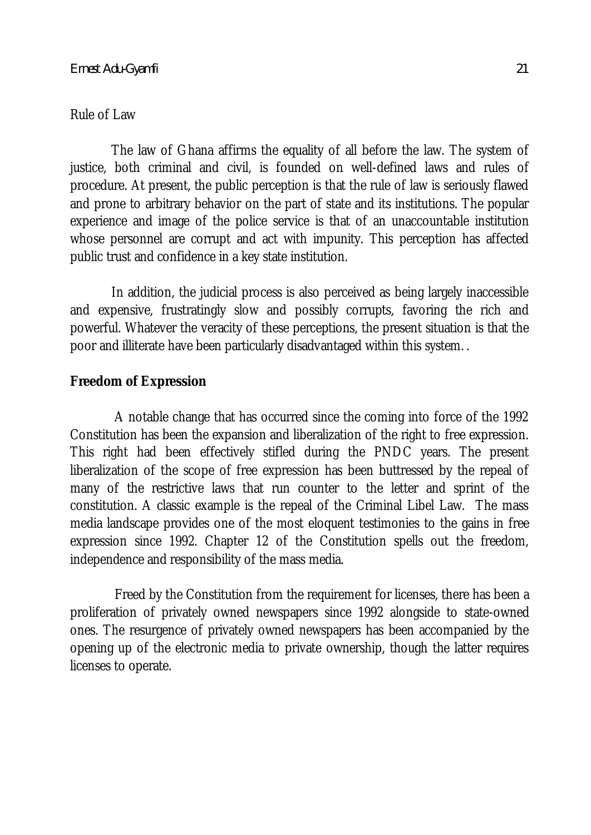#### Rule of Law

The law of Ghana affirms the equality of all before the law. The system of justice, both criminal and civil, is founded on well-defined laws and rules of procedure. At present, the public perception is that the rule of law is seriously flawed and prone to arbitrary behavior on the part of state and its institutions. The popular experience and image of the police service is that of an unaccountable institution whose personnel are corrupt and act with impunity. This perception has affected public trust and confidence in a key state institution.

In addition, the judicial process is also perceived as being largely inaccessible and expensive, frustratingly slow and possibly corrupts, favoring the rich and powerful. Whatever the veracity of these perceptions, the present situation is that the poor and illiterate have been particularly disadvantaged within this system. .

### **Freedom of Expression**

A notable change that has occurred since the coming into force of the 1992 Constitution has been the expansion and liberalization of the right to free expression. This right had been effectively stifled during the PNDC years. The present liberalization of the scope of free expression has been buttressed by the repeal of many of the restrictive laws that run counter to the letter and sprint of the constitution. A classic example is the repeal of the Criminal Libel Law. The mass media landscape provides one of the most eloquent testimonies to the gains in free expression since 1992. Chapter 12 of the Constitution spells out the freedom, independence and responsibility of the mass media.

Freed by the Constitution from the requirement for licenses, there has been a proliferation of privately owned newspapers since 1992 alongside to state-owned ones. The resurgence of privately owned newspapers has been accompanied by the opening up of the electronic media to private ownership, though the latter requires licenses to operate.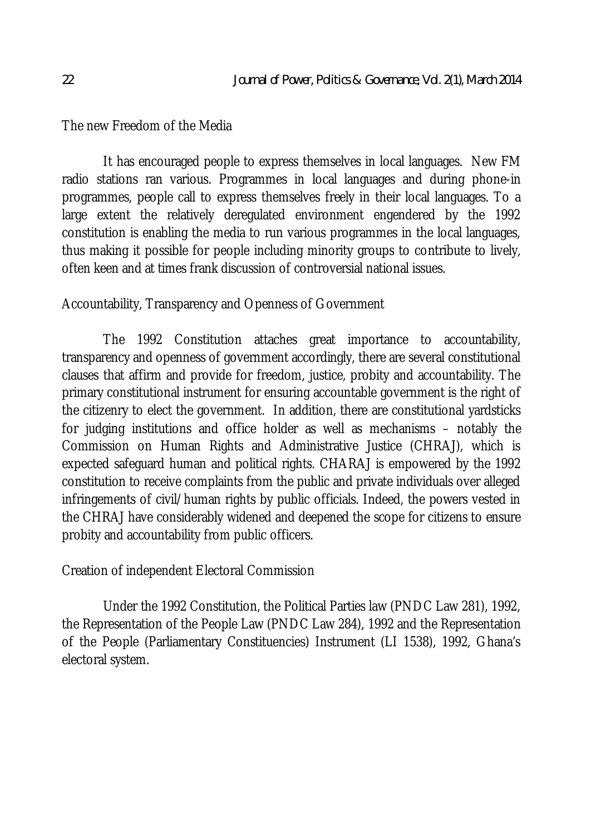The new Freedom of the Media

It has encouraged people to express themselves in local languages. New FM radio stations ran various. Programmes in local languages and during phone-in programmes, people call to express themselves freely in their local languages. To a large extent the relatively deregulated environment engendered by the 1992 constitution is enabling the media to run various programmes in the local languages, thus making it possible for people including minority groups to contribute to lively, often keen and at times frank discussion of controversial national issues.

## Accountability, Transparency and Openness of Government

The 1992 Constitution attaches great importance to accountability, transparency and openness of government accordingly, there are several constitutional clauses that affirm and provide for freedom, justice, probity and accountability. The primary constitutional instrument for ensuring accountable government is the right of the citizenry to elect the government. In addition, there are constitutional yardsticks for judging institutions and office holder as well as mechanisms – notably the Commission on Human Rights and Administrative Justice (CHRAJ), which is expected safeguard human and political rights. CHARAJ is empowered by the 1992 constitution to receive complaints from the public and private individuals over alleged infringements of civil/human rights by public officials. Indeed, the powers vested in the CHRAJ have considerably widened and deepened the scope for citizens to ensure probity and accountability from public officers.

Creation of independent Electoral Commission

Under the 1992 Constitution, the Political Parties law (PNDC Law 281), 1992, the Representation of the People Law (PNDC Law 284), 1992 and the Representation of the People (Parliamentary Constituencies) Instrument (LI 1538), 1992, Ghana's electoral system.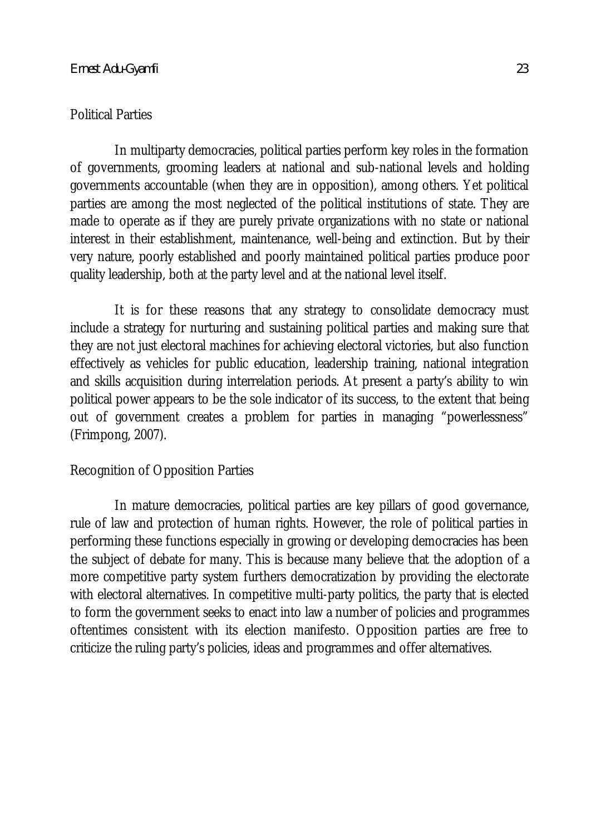#### Political Parties

In multiparty democracies, political parties perform key roles in the formation of governments, grooming leaders at national and sub-national levels and holding governments accountable (when they are in opposition), among others. Yet political parties are among the most neglected of the political institutions of state. They are made to operate as if they are purely private organizations with no state or national interest in their establishment, maintenance, well-being and extinction. But by their very nature, poorly established and poorly maintained political parties produce poor quality leadership, both at the party level and at the national level itself.

It is for these reasons that any strategy to consolidate democracy must include a strategy for nurturing and sustaining political parties and making sure that they are not just electoral machines for achieving electoral victories, but also function effectively as vehicles for public education, leadership training, national integration and skills acquisition during interrelation periods. At present a party's ability to win political power appears to be the sole indicator of its success, to the extent that being out of government creates a problem for parties in managing "powerlessness" (Frimpong, 2007).

### Recognition of Opposition Parties

In mature democracies, political parties are key pillars of good governance, rule of law and protection of human rights. However, the role of political parties in performing these functions especially in growing or developing democracies has been the subject of debate for many. This is because many believe that the adoption of a more competitive party system furthers democratization by providing the electorate with electoral alternatives. In competitive multi-party politics, the party that is elected to form the government seeks to enact into law a number of policies and programmes oftentimes consistent with its election manifesto. Opposition parties are free to criticize the ruling party's policies, ideas and programmes and offer alternatives.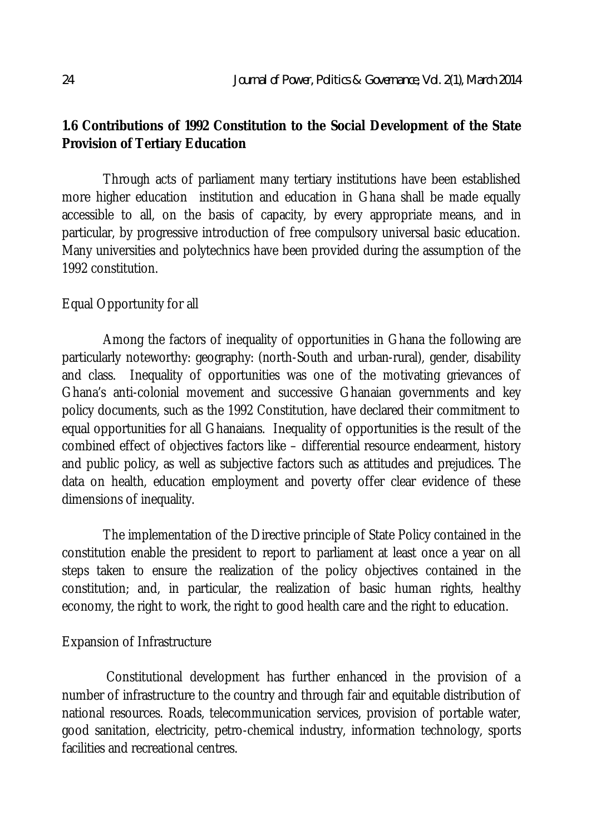# **1.6 Contributions of 1992 Constitution to the Social Development of the State Provision of Tertiary Education**

Through acts of parliament many tertiary institutions have been established more higher education institution and education in Ghana shall be made equally accessible to all, on the basis of capacity, by every appropriate means, and in particular, by progressive introduction of free compulsory universal basic education. Many universities and polytechnics have been provided during the assumption of the 1992 constitution.

## Equal Opportunity for all

Among the factors of inequality of opportunities in Ghana the following are particularly noteworthy: geography: (north-South and urban-rural), gender, disability and class. Inequality of opportunities was one of the motivating grievances of Ghana's anti-colonial movement and successive Ghanaian governments and key policy documents, such as the 1992 Constitution, have declared their commitment to equal opportunities for all Ghanaians. Inequality of opportunities is the result of the combined effect of objectives factors like – differential resource endearment, history and public policy, as well as subjective factors such as attitudes and prejudices. The data on health, education employment and poverty offer clear evidence of these dimensions of inequality.

The implementation of the Directive principle of State Policy contained in the constitution enable the president to report to parliament at least once a year on all steps taken to ensure the realization of the policy objectives contained in the constitution; and, in particular, the realization of basic human rights, healthy economy, the right to work, the right to good health care and the right to education.

## Expansion of Infrastructure

Constitutional development has further enhanced in the provision of a number of infrastructure to the country and through fair and equitable distribution of national resources. Roads, telecommunication services, provision of portable water, good sanitation, electricity, petro-chemical industry, information technology, sports facilities and recreational centres.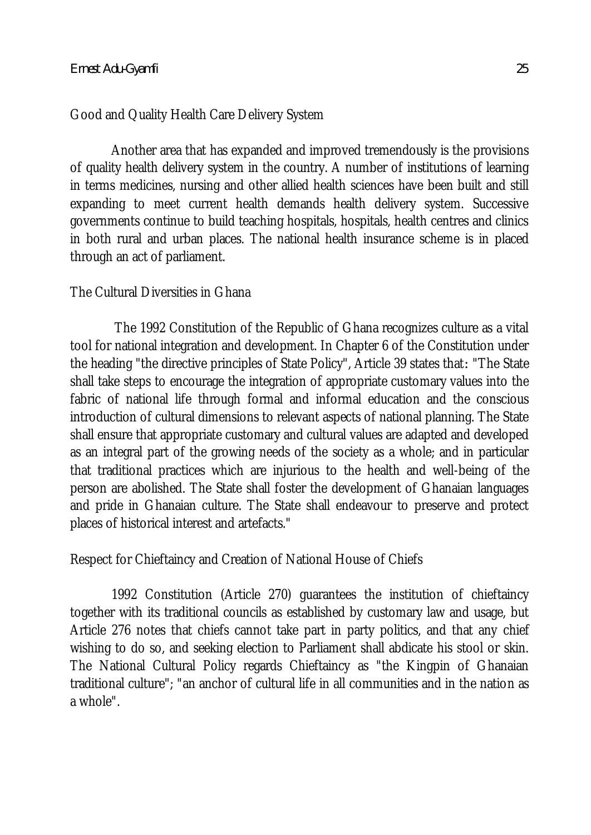# Good and Quality Health Care Delivery System

Another area that has expanded and improved tremendously is the provisions of quality health delivery system in the country. A number of institutions of learning in terms medicines, nursing and other allied health sciences have been built and still expanding to meet current health demands health delivery system. Successive governments continue to build teaching hospitals, hospitals, health centres and clinics in both rural and urban places. The national health insurance scheme is in placed through an act of parliament.

## The Cultural Diversities in Ghana

The 1992 Constitution of the Republic of Ghana recognizes culture as a vital tool for national integration and development. In Chapter 6 of the Constitution under the heading "the directive principles of State Policy", Article 39 states that*:* "The State shall take steps to encourage the integration of appropriate customary values into the fabric of national life through formal and informal education and the conscious introduction of cultural dimensions to relevant aspects of national planning. The State shall ensure that appropriate customary and cultural values are adapted and developed as an integral part of the growing needs of the society as a whole; and in particular that traditional practices which are injurious to the health and well-being of the person are abolished. The State shall foster the development of Ghanaian languages and pride in Ghanaian culture. The State shall endeavour to preserve and protect places of historical interest and artefacts."

# Respect for Chieftaincy and Creation of National House of Chiefs

1992 Constitution (Article 270) guarantees the institution of chieftaincy together with its traditional councils as established by customary law and usage, but Article 276 notes that chiefs cannot take part in party politics, and that any chief wishing to do so, and seeking election to Parliament shall abdicate his stool or skin. The National Cultural Policy regards Chieftaincy as "the Kingpin of Ghanaian traditional culture"; "an anchor of cultural life in all communities and in the nation as a whole".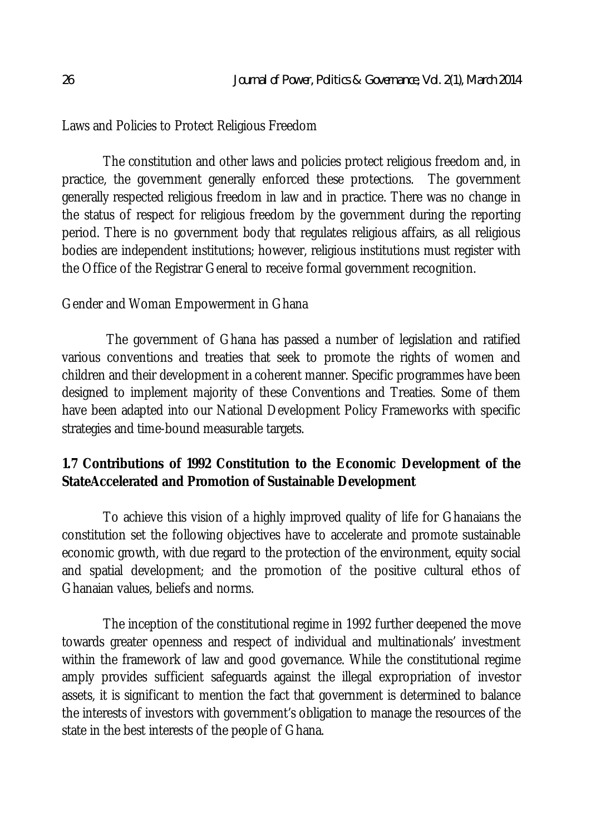Laws and Policies to Protect Religious Freedom

The constitution and other laws and policies protect religious freedom and, in practice, the government generally enforced these protections. The government generally respected religious freedom in law and in practice. There was no change in the status of respect for religious freedom by the government during the reporting period. There is no government body that regulates religious affairs, as all religious bodies are independent institutions; however, religious institutions must register with the Office of the Registrar General to receive formal government recognition.

### Gender and Woman Empowerment in Ghana

The government of Ghana has passed a number of legislation and ratified various conventions and treaties that seek to promote the rights of women and children and their development in a coherent manner. Specific programmes have been designed to implement majority of these Conventions and Treaties. Some of them have been adapted into our National Development Policy Frameworks with specific strategies and time-bound measurable targets.

# **1.7 Contributions of 1992 Constitution to the Economic Development of the StateAccelerated and Promotion of Sustainable Development**

To achieve this vision of a highly improved quality of life for Ghanaians the constitution set the following objectives have to accelerate and promote sustainable economic growth, with due regard to the protection of the environment, equity social and spatial development; and the promotion of the positive cultural ethos of Ghanaian values, beliefs and norms.

The inception of the constitutional regime in 1992 further deepened the move towards greater openness and respect of individual and multinationals' investment within the framework of law and good governance. While the constitutional regime amply provides sufficient safeguards against the illegal expropriation of investor assets, it is significant to mention the fact that government is determined to balance the interests of investors with government's obligation to manage the resources of the state in the best interests of the people of Ghana.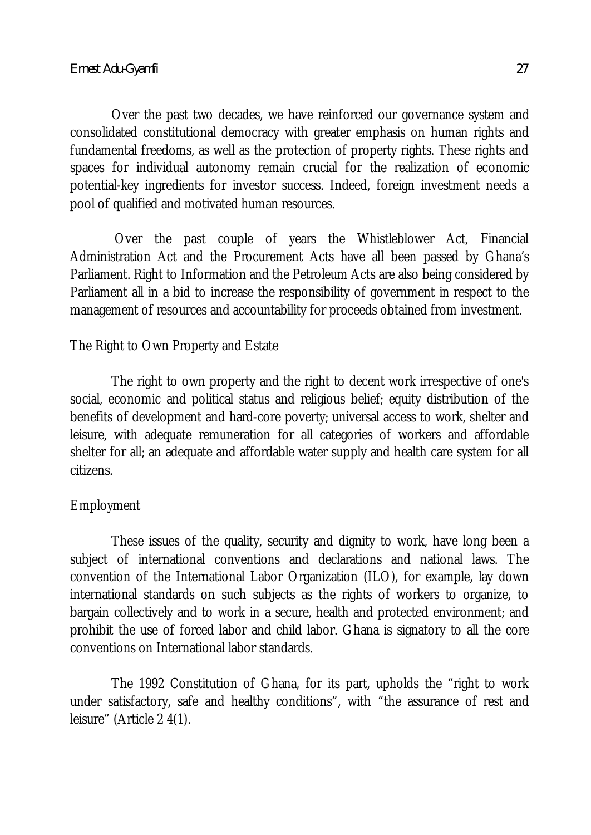Over the past two decades, we have reinforced our governance system and consolidated constitutional democracy with greater emphasis on human rights and fundamental freedoms, as well as the protection of property rights. These rights and spaces for individual autonomy remain crucial for the realization of economic potential-key ingredients for investor success. Indeed, foreign investment needs a pool of qualified and motivated human resources.

Over the past couple of years the Whistleblower Act, Financial Administration Act and the Procurement Acts have all been passed by Ghana's Parliament. Right to Information and the Petroleum Acts are also being considered by Parliament all in a bid to increase the responsibility of government in respect to the management of resources and accountability for proceeds obtained from investment.

### The Right to Own Property and Estate

The right to own property and the right to decent work irrespective of one's social, economic and political status and religious belief; equity distribution of the benefits of development and hard-core poverty; universal access to work, shelter and leisure, with adequate remuneration for all categories of workers and affordable shelter for all; an adequate and affordable water supply and health care system for all citizens.

### Employment

These issues of the quality, security and dignity to work, have long been a subject of international conventions and declarations and national laws. The convention of the International Labor Organization (ILO), for example, lay down international standards on such subjects as the rights of workers to organize, to bargain collectively and to work in a secure, health and protected environment; and prohibit the use of forced labor and child labor. Ghana is signatory to all the core conventions on International labor standards.

The 1992 Constitution of Ghana, for its part, upholds the "right to work under satisfactory, safe and healthy conditions", with "the assurance of rest and leisure" (Article 2 4(1).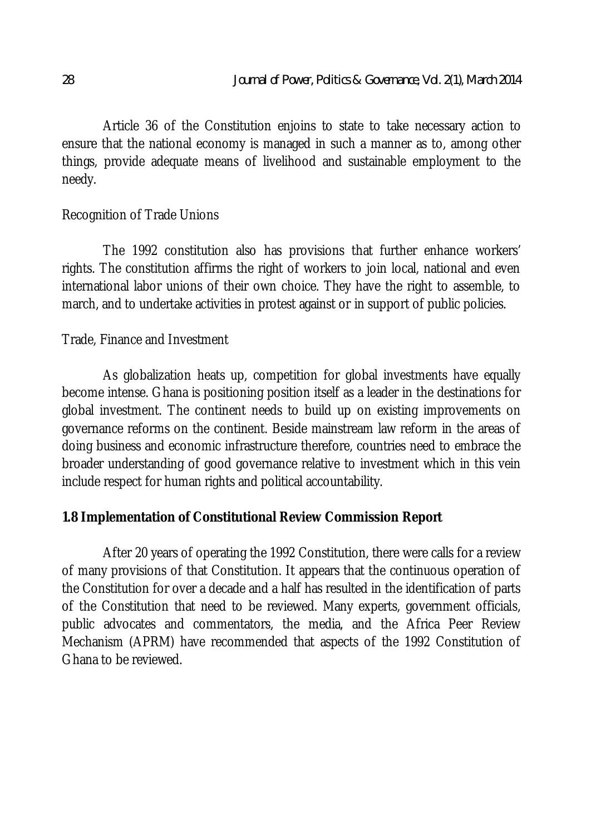Article 36 of the Constitution enjoins to state to take necessary action to ensure that the national economy is managed in such a manner as to, among other things, provide adequate means of livelihood and sustainable employment to the needy.

## Recognition of Trade Unions

The 1992 constitution also has provisions that further enhance workers' rights. The constitution affirms the right of workers to join local, national and even international labor unions of their own choice. They have the right to assemble, to march, and to undertake activities in protest against or in support of public policies.

## Trade, Finance and Investment

As globalization heats up, competition for global investments have equally become intense. Ghana is positioning position itself as a leader in the destinations for global investment. The continent needs to build up on existing improvements on governance reforms on the continent. Beside mainstream law reform in the areas of doing business and economic infrastructure therefore, countries need to embrace the broader understanding of good governance relative to investment which in this vein include respect for human rights and political accountability.

## **1.8 Implementation of Constitutional Review Commission Report**

After 20 years of operating the 1992 Constitution, there were calls for a review of many provisions of that Constitution. It appears that the continuous operation of the Constitution for over a decade and a half has resulted in the identification of parts of the Constitution that need to be reviewed. Many experts, government officials, public advocates and commentators, the media, and the Africa Peer Review Mechanism (APRM) have recommended that aspects of the 1992 Constitution of Ghana to be reviewed.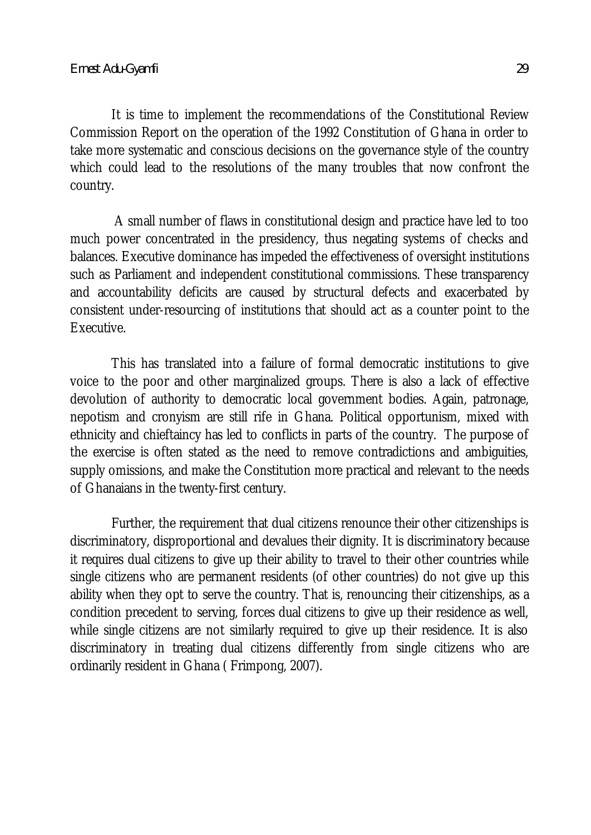It is time to implement the recommendations of the Constitutional Review Commission Report on the operation of the 1992 Constitution of Ghana in order to take more systematic and conscious decisions on the governance style of the country which could lead to the resolutions of the many troubles that now confront the country.

A small number of flaws in constitutional design and practice have led to too much power concentrated in the presidency, thus negating systems of checks and balances. Executive dominance has impeded the effectiveness of oversight institutions such as Parliament and independent constitutional commissions. These transparency and accountability deficits are caused by structural defects and exacerbated by consistent under-resourcing of institutions that should act as a counter point to the Executive.

This has translated into a failure of formal democratic institutions to give voice to the poor and other marginalized groups. There is also a lack of effective devolution of authority to democratic local government bodies. Again, patronage, nepotism and cronyism are still rife in Ghana. Political opportunism, mixed with ethnicity and chieftaincy has led to conflicts in parts of the country. The purpose of the exercise is often stated as the need to remove contradictions and ambiguities, supply omissions, and make the Constitution more practical and relevant to the needs of Ghanaians in the twenty-first century.

Further, the requirement that dual citizens renounce their other citizenships is discriminatory, disproportional and devalues their dignity. It is discriminatory because it requires dual citizens to give up their ability to travel to their other countries while single citizens who are permanent residents (of other countries) do not give up this ability when they opt to serve the country. That is, renouncing their citizenships, as a condition precedent to serving, forces dual citizens to give up their residence as well, while single citizens are not similarly required to give up their residence. It is also discriminatory in treating dual citizens differently from single citizens who are ordinarily resident in Ghana ( Frimpong, 2007).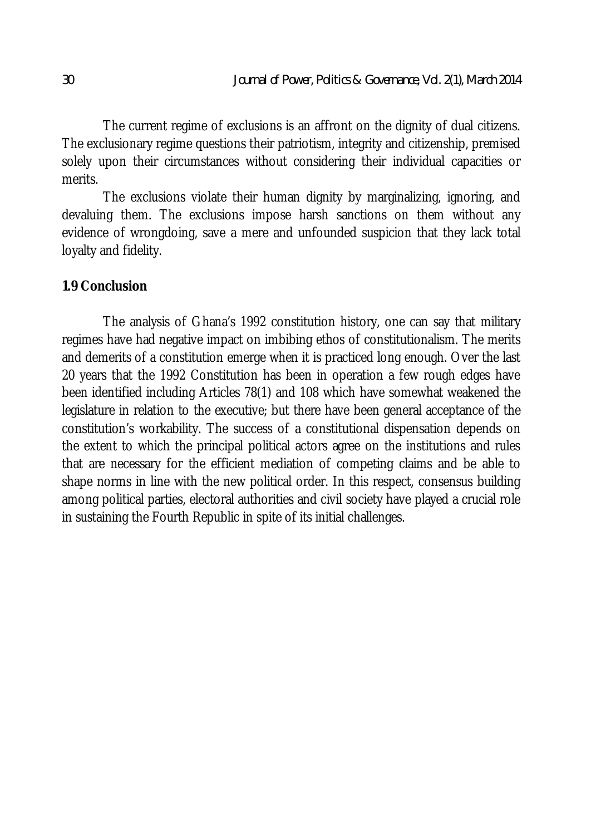The current regime of exclusions is an affront on the dignity of dual citizens. The exclusionary regime questions their patriotism, integrity and citizenship, premised solely upon their circumstances without considering their individual capacities or merits.

The exclusions violate their human dignity by marginalizing, ignoring, and devaluing them. The exclusions impose harsh sanctions on them without any evidence of wrongdoing, save a mere and unfounded suspicion that they lack total loyalty and fidelity.

### **1.9 Conclusion**

The analysis of Ghana's 1992 constitution history, one can say that military regimes have had negative impact on imbibing ethos of constitutionalism. The merits and demerits of a constitution emerge when it is practiced long enough. Over the last 20 years that the 1992 Constitution has been in operation a few rough edges have been identified including Articles 78(1) and 108 which have somewhat weakened the legislature in relation to the executive; but there have been general acceptance of the constitution's workability. The success of a constitutional dispensation depends on the extent to which the principal political actors agree on the institutions and rules that are necessary for the efficient mediation of competing claims and be able to shape norms in line with the new political order. In this respect, consensus building among political parties, electoral authorities and civil society have played a crucial role in sustaining the Fourth Republic in spite of its initial challenges.